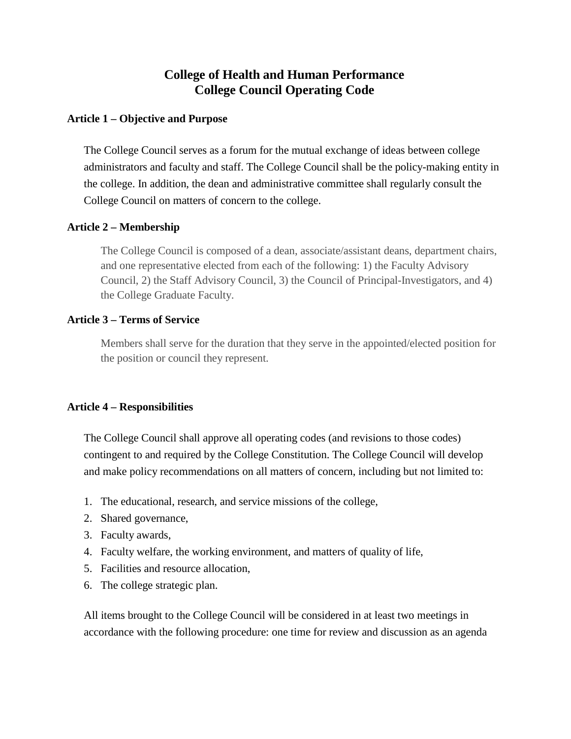# **College of Health and Human Performance College Council Operating Code**

## **Article 1 – Objective and Purpose**

The College Council serves as a forum for the mutual exchange of ideas between college administrators and faculty and staff. The College Council shall be the policy-making entity in the college. In addition, the dean and administrative committee shall regularly consult the College Council on matters of concern to the college.

## **Article 2 – Membership**

The College Council is composed of a dean, associate/assistant deans, department chairs, and one representative elected from each of the following: 1) the Faculty Advisory Council, 2) the Staff Advisory Council, 3) the Council of Principal-Investigators, and 4) the College Graduate Faculty.

## **Article 3 – Terms of Service**

Members shall serve for the duration that they serve in the appointed/elected position for the position or council they represent.

## **Article 4 – Responsibilities**

The College Council shall approve all operating codes (and revisions to those codes) contingent to and required by the College Constitution. The College Council will develop and make policy recommendations on all matters of concern, including but not limited to:

- 1. The educational, research, and service missions of the college,
- 2. Shared governance,
- 3. Faculty awards,
- 4. Faculty welfare, the working environment, and matters of quality of life,
- 5. Facilities and resource allocation,
- 6. The college strategic plan.

All items brought to the College Council will be considered in at least two meetings in accordance with the following procedure: one time for review and discussion as an agenda